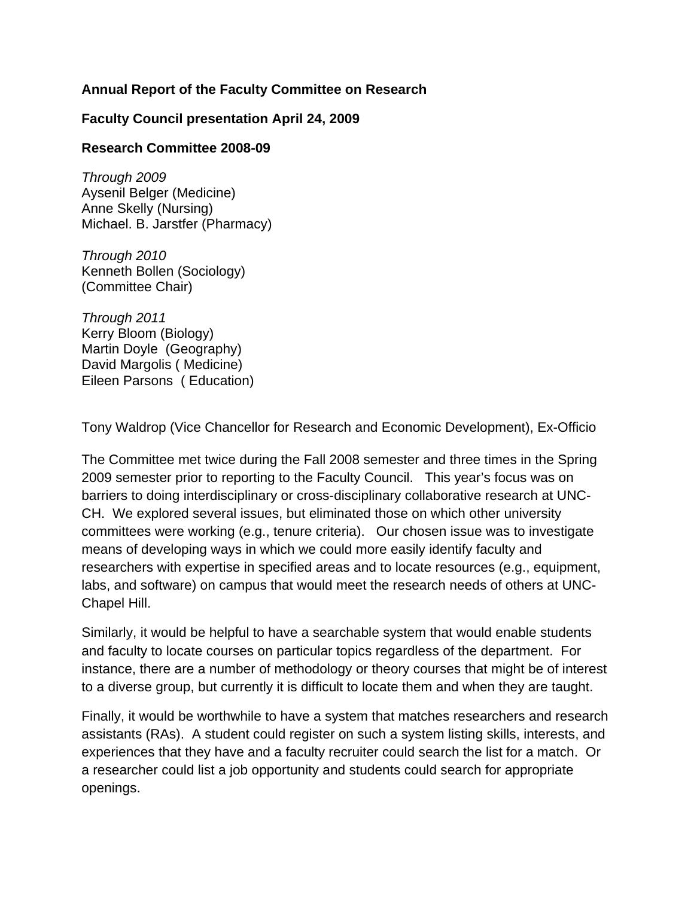# **Annual Report of the Faculty Committee on Research**

# **Faculty Council presentation April 24, 2009**

## **Research Committee 2008-09**

*Through 2009*  Aysenil Belger (Medicine) Anne Skelly (Nursing) Michael. B. Jarstfer (Pharmacy)

*Through 2010*  Kenneth Bollen (Sociology) (Committee Chair)

*Through 2011*  Kerry Bloom (Biology) Martin Doyle (Geography) David Margolis ( Medicine) Eileen Parsons ( Education)

Tony Waldrop (Vice Chancellor for Research and Economic Development), Ex-Officio

The Committee met twice during the Fall 2008 semester and three times in the Spring 2009 semester prior to reporting to the Faculty Council. This year's focus was on barriers to doing interdisciplinary or cross-disciplinary collaborative research at UNC-CH. We explored several issues, but eliminated those on which other university committees were working (e.g., tenure criteria). Our chosen issue was to investigate means of developing ways in which we could more easily identify faculty and researchers with expertise in specified areas and to locate resources (e.g., equipment, labs, and software) on campus that would meet the research needs of others at UNC-Chapel Hill.

Similarly, it would be helpful to have a searchable system that would enable students and faculty to locate courses on particular topics regardless of the department. For instance, there are a number of methodology or theory courses that might be of interest to a diverse group, but currently it is difficult to locate them and when they are taught.

Finally, it would be worthwhile to have a system that matches researchers and research assistants (RAs). A student could register on such a system listing skills, interests, and experiences that they have and a faculty recruiter could search the list for a match. Or a researcher could list a job opportunity and students could search for appropriate openings.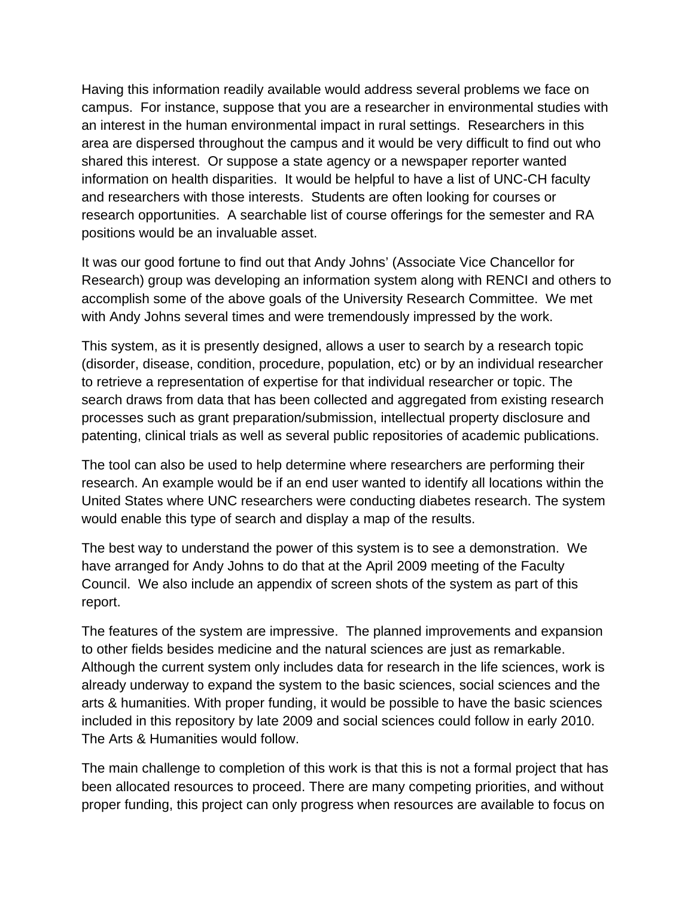Having this information readily available would address several problems we face on campus. For instance, suppose that you are a researcher in environmental studies with an interest in the human environmental impact in rural settings. Researchers in this area are dispersed throughout the campus and it would be very difficult to find out who shared this interest. Or suppose a state agency or a newspaper reporter wanted information on health disparities. It would be helpful to have a list of UNC-CH faculty and researchers with those interests. Students are often looking for courses or research opportunities. A searchable list of course offerings for the semester and RA positions would be an invaluable asset.

It was our good fortune to find out that Andy Johns' (Associate Vice Chancellor for Research) group was developing an information system along with RENCI and others to accomplish some of the above goals of the University Research Committee. We met with Andy Johns several times and were tremendously impressed by the work.

This system, as it is presently designed, allows a user to search by a research topic (disorder, disease, condition, procedure, population, etc) or by an individual researcher to retrieve a representation of expertise for that individual researcher or topic. The search draws from data that has been collected and aggregated from existing research processes such as grant preparation/submission, intellectual property disclosure and patenting, clinical trials as well as several public repositories of academic publications.

The tool can also be used to help determine where researchers are performing their research. An example would be if an end user wanted to identify all locations within the United States where UNC researchers were conducting diabetes research. The system would enable this type of search and display a map of the results.

The best way to understand the power of this system is to see a demonstration. We have arranged for Andy Johns to do that at the April 2009 meeting of the Faculty Council. We also include an appendix of screen shots of the system as part of this report.

The features of the system are impressive. The planned improvements and expansion to other fields besides medicine and the natural sciences are just as remarkable. Although the current system only includes data for research in the life sciences, work is already underway to expand the system to the basic sciences, social sciences and the arts & humanities. With proper funding, it would be possible to have the basic sciences included in this repository by late 2009 and social sciences could follow in early 2010. The Arts & Humanities would follow.

The main challenge to completion of this work is that this is not a formal project that has been allocated resources to proceed. There are many competing priorities, and without proper funding, this project can only progress when resources are available to focus on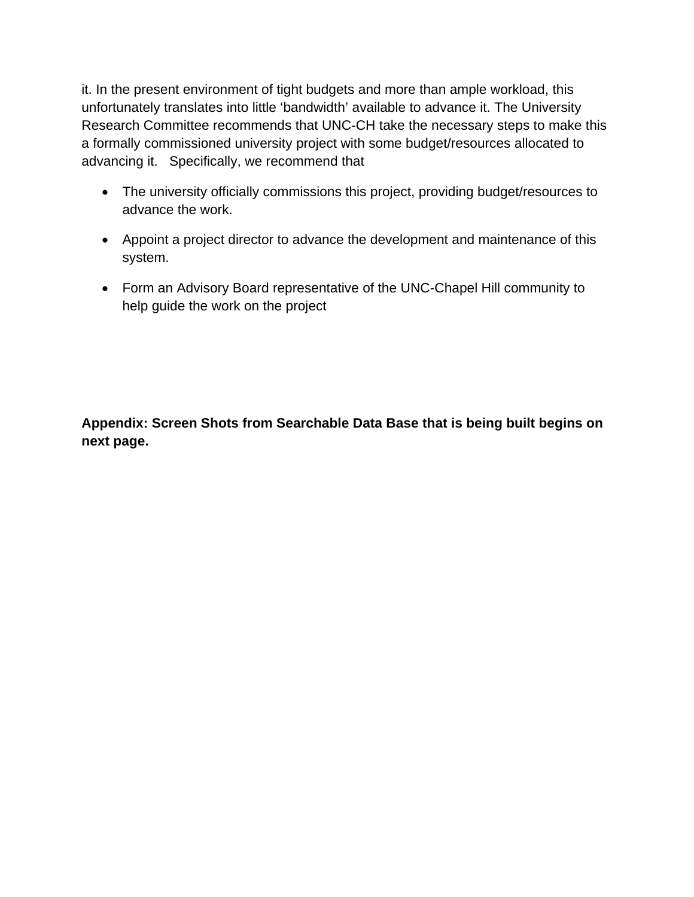it. In the present environment of tight budgets and more than ample workload, this unfortunately translates into little 'bandwidth' available to advance it. The University Research Committee recommends that UNC-CH take the necessary steps to make this a formally commissioned university project with some budget/resources allocated to advancing it. Specifically, we recommend that

- The university officially commissions this project, providing budget/resources to advance the work.
- Appoint a project director to advance the development and maintenance of this system.
- Form an Advisory Board representative of the UNC-Chapel Hill community to help guide the work on the project

**Appendix: Screen Shots from Searchable Data Base that is being built begins on next page.**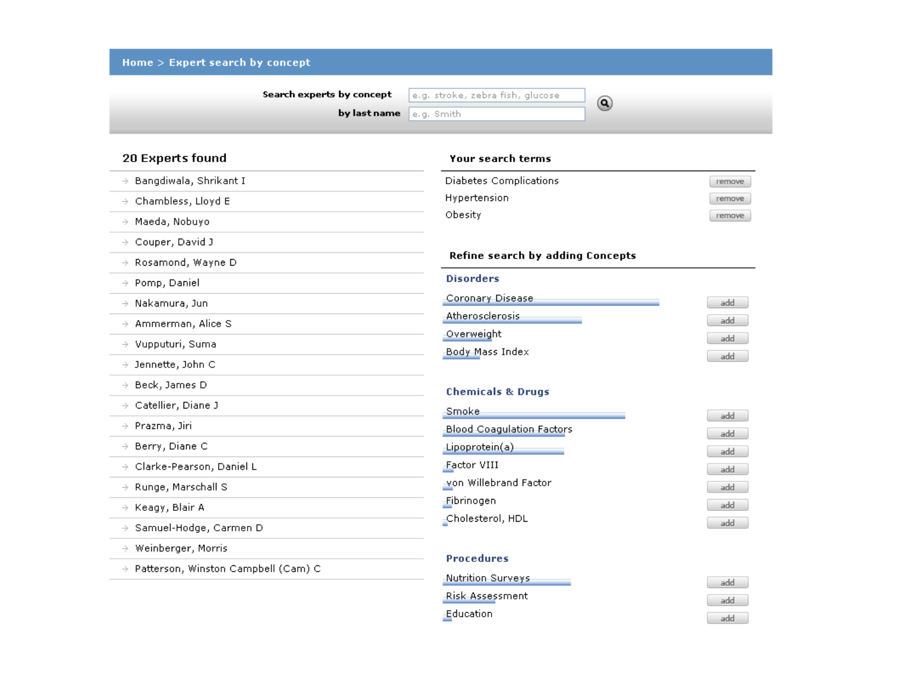| Search experts by concept              | e.g. stroke, zebra fish, glucose<br>$\circledcirc$ |            |
|----------------------------------------|----------------------------------------------------|------------|
|                                        | by last name<br>e.g. Smith                         |            |
| 20 Experts found                       | <b>Your search terms</b>                           |            |
| $\rightarrow$ Bangdiwala, Shrikant I   | Diabetes Complications                             | remove     |
| $\rightarrow$ Chambless, Lloyd E       | Hypertension                                       | remove     |
| Maeda, Nobuyo<br>$\rightarrow$         | Obesity                                            | remove     |
| $\rightarrow$ Couper, David J          |                                                    |            |
| $\rightarrow$ Rosamond, Wayne D        | Refine search by adding Concepts                   |            |
| $\rightarrow$ Pomp, Daniel             | <b>Disorders</b>                                   |            |
| $\rightarrow$ Nakamura, Jun            | Coronary Disease                                   | add        |
| $\rightarrow$ Ammerman, Alice S        | Atherosclerosis                                    | add        |
| $\rightarrow$ Vupputuri, Suma          | Overweight                                         | add        |
| $\rightarrow$ Jennette, John C         | Body Mass Index                                    | add        |
| $\rightarrow$ Beck, James D            |                                                    |            |
| $\rightarrow$ Catellier, Diane J       | <b>Chemicals &amp; Drugs</b>                       |            |
| $\rightarrow$ Prazma, Jiri             | Smoke<br><b>Blood Coagulation Factors</b>          | add        |
| $\rightarrow$ Berry, Diane C           | Lipoprotein(a)                                     | add        |
| $\rightarrow$ Clarke-Pearson, Daniel L | Factor VIII                                        | add<br>add |
| $\rightarrow$ Runge, Marschall S       | von Willebrand Factor                              | add        |
| $\rightarrow$ Keagy, Blair A           | Fibrinogen                                         | add        |
| $\rightarrow$ Samuel-Hodge, Carmen D   | -Cholesterol, HDL                                  | add        |
| Weinberger, Morris<br>$\rightarrow$    |                                                    |            |
| → Patterson, Winston Campbell (Cam) C  | <b>Procedures</b>                                  |            |

Education

add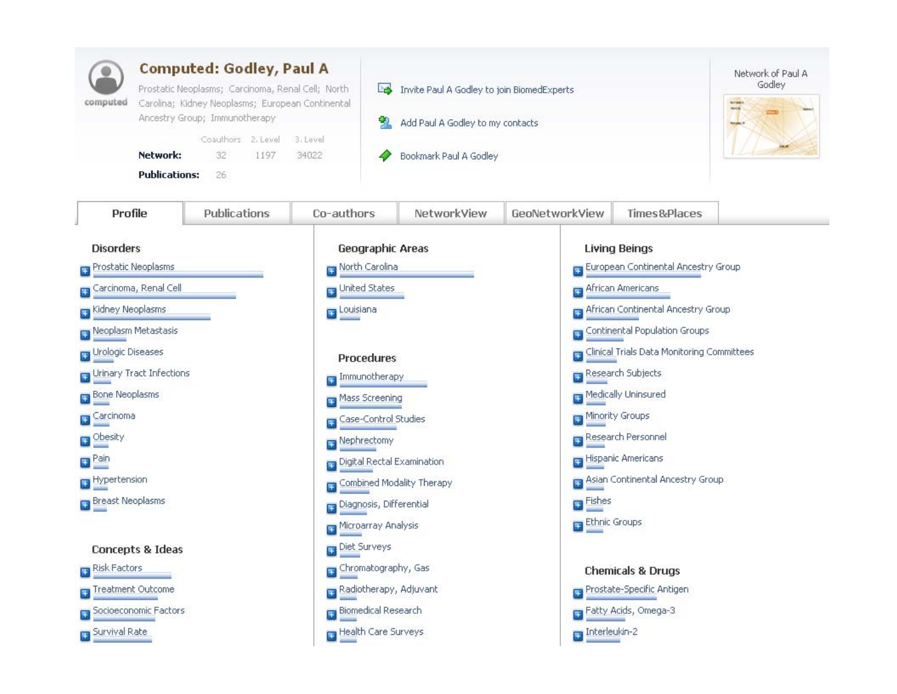| <b>Computed: Godley, Paul A</b><br>Prostatic Neoplasms; Carcinoma, Renal Cell; North<br>Carolina; Kidney Neoplasms; European Continental<br>computed<br>Ancestry Group; Immunotherapy<br>Coauthors 2. Level<br>3. Level<br>Network:<br>32<br>1197<br>34022<br><b>Publications:</b><br>26 |              |                      | Invite Paul A Godley to join BiomedExperts<br>Po.<br>Add Paul A Godley to my contacts<br>Bookmark Paul A Godley | Network of Paul A<br>Godley<br><b>Arris</b> |                                                                      |                                                   |  |
|------------------------------------------------------------------------------------------------------------------------------------------------------------------------------------------------------------------------------------------------------------------------------------------|--------------|----------------------|-----------------------------------------------------------------------------------------------------------------|---------------------------------------------|----------------------------------------------------------------------|---------------------------------------------------|--|
| Profile                                                                                                                                                                                                                                                                                  | Publications | Co-authors           | NetworkView                                                                                                     | GeoNetworkView                              | Times&Places                                                         |                                                   |  |
| <b>Disorders</b><br>Prostatic Neoplasms<br>Ŧ                                                                                                                                                                                                                                             |              |                      | <b>Geographic Areas</b><br>North Carolina                                                                       |                                             | <b>Living Beings</b><br><b>B</b> European Continental Ancestry Group |                                                   |  |
| Carcinoma, Renal Cell                                                                                                                                                                                                                                                                    |              | United States        |                                                                                                                 | African Americans                           |                                                                      |                                                   |  |
| <b>El</b> Kidney Neoplasms                                                                                                                                                                                                                                                               |              | Louisiana            |                                                                                                                 |                                             | <b>Pa African Continental Ancestry Group</b>                         |                                                   |  |
| Neoplasm Metastasis                                                                                                                                                                                                                                                                      |              |                      |                                                                                                                 |                                             | <b>T</b> Continental Population Groups                               |                                                   |  |
| <b>H</b> Urologic Diseases<br><b>Procedures</b>                                                                                                                                                                                                                                          |              |                      |                                                                                                                 |                                             |                                                                      | <b>Clinical Trials Data Monitoring Committees</b> |  |
| Urinary Tract Infections<br>Immunotherapy                                                                                                                                                                                                                                                |              |                      |                                                                                                                 |                                             | Research Subjects                                                    |                                                   |  |
| Bone Neoplasms<br>Ŧ                                                                                                                                                                                                                                                                      |              | Mass Screening       |                                                                                                                 |                                             | Medically Uninsured                                                  |                                                   |  |
| Carcinoma                                                                                                                                                                                                                                                                                |              | Case-Control Studies |                                                                                                                 |                                             | Minority Groups                                                      |                                                   |  |
| <b>D</b> Obesity                                                                                                                                                                                                                                                                         |              | Nephrectomy          |                                                                                                                 | Research Personnel                          |                                                                      |                                                   |  |
| $\blacksquare$ Pain                                                                                                                                                                                                                                                                      |              |                      | Digital Rectal Examination                                                                                      |                                             | Hispanic Americans                                                   |                                                   |  |
| Hypertension                                                                                                                                                                                                                                                                             |              |                      | Combined Modality Therapy                                                                                       |                                             | Asian Continental Ancestry Group                                     |                                                   |  |
| <b>Breast Neoplasms</b>                                                                                                                                                                                                                                                                  |              |                      | Diagnosis, Differential                                                                                         |                                             | <b>Explored</b>                                                      |                                                   |  |
|                                                                                                                                                                                                                                                                                          |              | Microarray Analysis  |                                                                                                                 | Ethnic Groups                               |                                                                      |                                                   |  |
| <b>Concepts &amp; Ideas</b>                                                                                                                                                                                                                                                              |              | Diet Surveys         |                                                                                                                 |                                             |                                                                      |                                                   |  |
| Risk Factors                                                                                                                                                                                                                                                                             |              | Chromatography, Gas  |                                                                                                                 |                                             | <b>Chemicals &amp; Drugs</b>                                         |                                                   |  |
| Treatment Outcome                                                                                                                                                                                                                                                                        |              |                      | Radiotherapy, Adjuvant                                                                                          |                                             | Prostate-Specific Antigen                                            |                                                   |  |
| Socioeconomic Factors                                                                                                                                                                                                                                                                    |              |                      | <b>Biomedical Research</b>                                                                                      |                                             | Fatty Acids, Omega-3                                                 |                                                   |  |
| Survival Rate                                                                                                                                                                                                                                                                            |              |                      | Health Care Surveys                                                                                             | $\Box$ Interleukin-2                        |                                                                      |                                                   |  |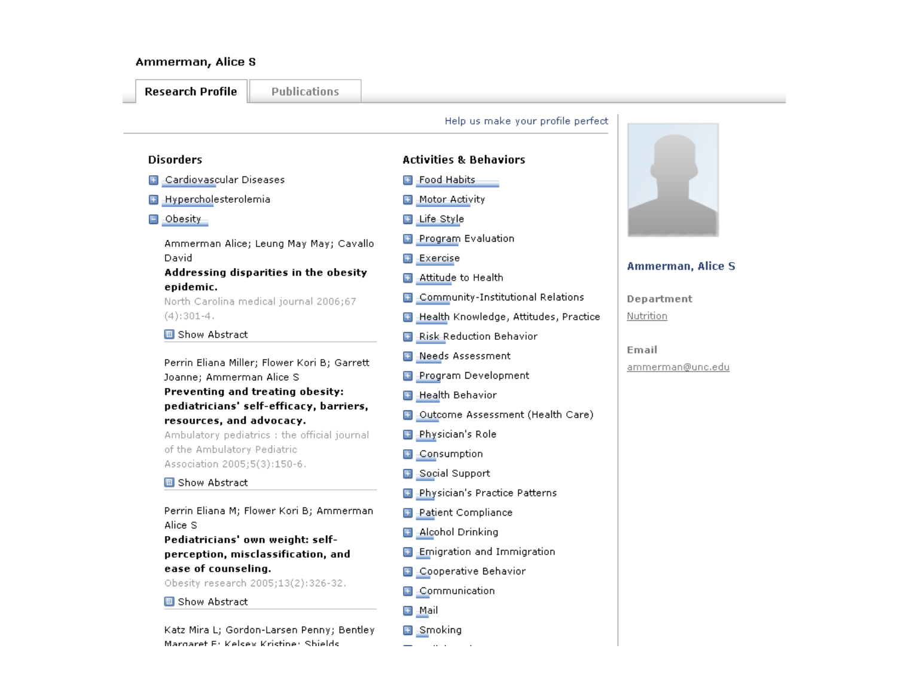### Ammerman, Alice S

#### **Research Profile**

**Publications** 

### Help us make your profile perfect

#### **Disorders**

- **B** Cardiovascular Diseases
- **B** Hypercholesterolemia
- $\Box$  -Obesity -

Ammerman Alice; Leung May May; Cavallo David

## Addressing disparities in the obesity epidemic.

North Carolina medical journal 2006;67  $(4):301-4.$ 

#### **B** Show Abstract

Perrin Eliana Miller; Flower Kori B; Garrett Joanne; Ammerman Alice S Preventing and treating obesity: pediatricians' self-efficacy, barriers,

# resources, and advocacy.

Ambulatory pediatrics : the official journal of the Ambulatory Pediatric Association 2005;5(3):150-6.

#### **B** Show Abstract

Perrin Eliana M; Flower Kori B; Ammerman Alice S

Pediatricians' own weight: selfperception, misclassification, and ease of counseling.

Obesity research 2005;13(2):326-32.

#### **B** Show Abstract

Katz Mira L; Gordon-Larsen Penny; Bentley Margaret E: Kelsey Kristine: Shields

## **Activities & Behaviors**

- **El** Food Habits
- Motor Activity
- □ Life Style
- Program Evaluation
- **Exercise**
- Attitude to Health Œ
- **B** Community-Institutional Relations
- Health Knowledge, Attitudes, Practice  $\overline{+}$
- **Risk Reduction Behavior**
- Needs Assessment Œ
- **El Program Development**
- **El** Health Behavior
- **B** Outcome Assessment (Health Care)
- **Physician's Role**
- Consumption Œ
- **El** Social Support
- **Physician's Practice Patterns**
- **Patient Compliance** Œ
- **Alcohol Drinking**
- $\Box$  Emigration and Immigration
- **B** Cooperative Behavior
- E Communication
- 国 Mail
- **E** Smoking



## Ammerman, Alice S.

Department Nutrition

Email ammerman@unc.edu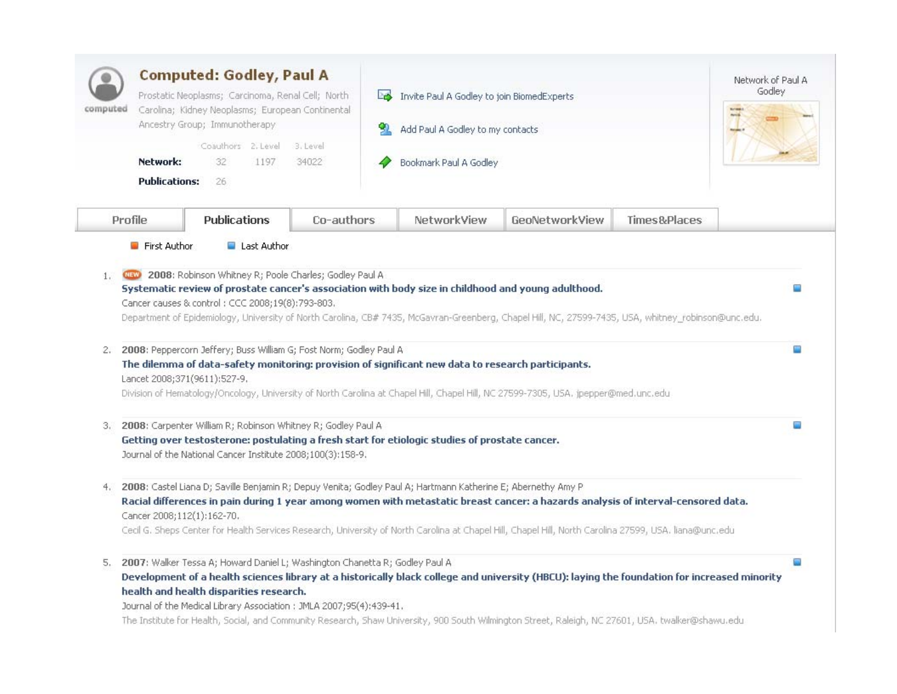| <b>Computed: Godley, Paul A</b><br>Prostatic Neoplasms; Carcinoma, Renal Cell; North<br>Carolina; Kidney Neoplasms; European Continental<br>computed<br>Ancestry Group; Immunotherapy<br>Coauthors 2. Level<br>3. Level<br>Network:<br>32<br>1197<br>34022 |                                                                                                                                                                                                                                                                                                                                                                     |            | Invite Paul A Godley to join BiomedExperts<br>PS.<br>Add Paul A Godley to my contacts<br>Bookmark Paul A Godley |                                                                                                                                                                                                                                                                                                   |              | Network of Paul A<br>Godley |
|------------------------------------------------------------------------------------------------------------------------------------------------------------------------------------------------------------------------------------------------------------|---------------------------------------------------------------------------------------------------------------------------------------------------------------------------------------------------------------------------------------------------------------------------------------------------------------------------------------------------------------------|------------|-----------------------------------------------------------------------------------------------------------------|---------------------------------------------------------------------------------------------------------------------------------------------------------------------------------------------------------------------------------------------------------------------------------------------------|--------------|-----------------------------|
| <b>Publications:</b><br>Profile                                                                                                                                                                                                                            | 26<br><b>Publications</b>                                                                                                                                                                                                                                                                                                                                           | Co-authors | NetworkView                                                                                                     | GeoNetworkView                                                                                                                                                                                                                                                                                    | Times&Places |                             |
| 2.                                                                                                                                                                                                                                                         | Systematic review of prostate cancer's association with body size in childhood and young adulthood.<br>Cancer causes & control: CCC 2008;19(8):793-803.<br>2008: Peppercorn Jeffery; Buss William G; Fost Norm; Godley Paul A<br>The dilemma of data-safety monitoring: provision of significant new data to research participants.<br>Lancet 2008;371(9611):527-9. |            |                                                                                                                 | Department of Epidemiology, University of North Carolina, CB# 7435, McGavran-Greenberg, Chapel Hill, NC, 27599-7435, USA, whitney_robinson@unc.edu.                                                                                                                                               |              | ▭<br>œ                      |
| 3.                                                                                                                                                                                                                                                         | 2008: Carpenter William R; Robinson Whitney R; Godley Paul A<br>Getting over testosterone: postulating a fresh start for etiologic studies of prostate cancer.<br>Journal of the National Cancer Institute 2008;100(3):158-9.                                                                                                                                       |            |                                                                                                                 | Division of Hematology/Oncology, University of North Carolina at Chapel Hill, Chapel Hill, NC 27599-7305, USA. jpepper@med.unc.edu                                                                                                                                                                |              | o.                          |
| 4.                                                                                                                                                                                                                                                         | 2008: Castel Liana D; Saville Benjamin R; Depuy Venita; Godley Paul A; Hartmann Katherine E; Abernethy Amy P<br>Cancer 2008;112(1):162-70.                                                                                                                                                                                                                          |            |                                                                                                                 | Racial differences in pain during 1 year among women with metastatic breast cancer: a hazards analysis of interval-censored data.<br>Cecil G. Sheps Center for Health Services Research, University of North Carolina at Chapel Hill, Chapel Hill, North Carolina 27599, USA. liana@unc.edu       |              |                             |
| 5.                                                                                                                                                                                                                                                         | 2007: Walker Tessa A; Howard Daniel L; Washington Chanetta R; Godley Paul A<br>health and health disparities research.<br>Journal of the Medical Library Association : JMLA 2007;95(4):439-41.                                                                                                                                                                      |            |                                                                                                                 | Development of a health sciences library at a historically black college and university (HBCU): laying the foundation for increased minority<br>The Institute for Health, Social, and Community Research, Shaw University, 900 South Wilmington Street, Raleigh, NC 27601, USA. twalker@shawu.edu |              | Ω                           |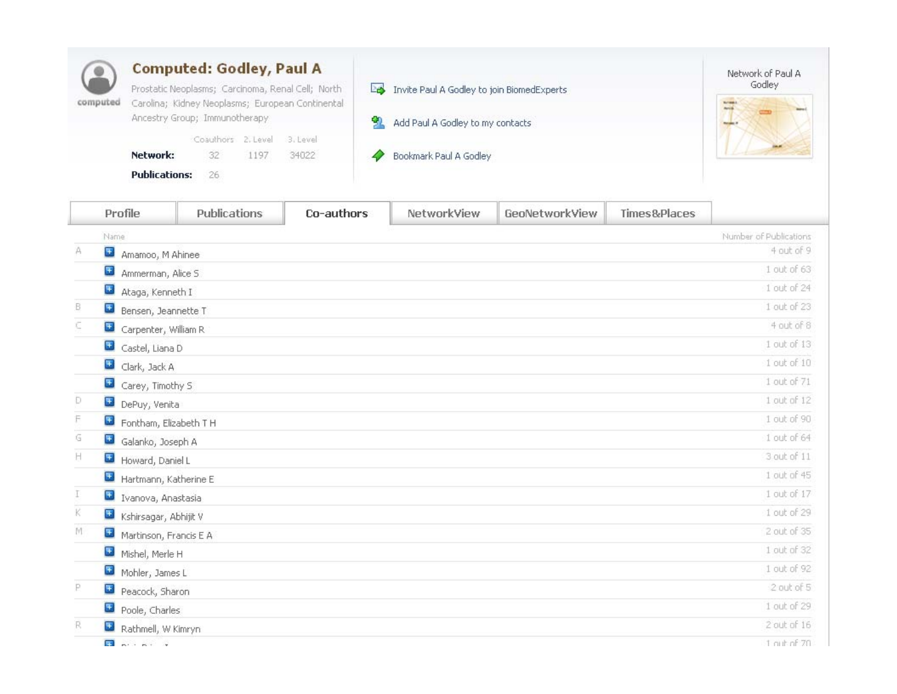| computed | <b>Computed: Godley, Paul A</b>                                                                       |    |                             |       |  |                                            | Network of Paul A |
|----------|-------------------------------------------------------------------------------------------------------|----|-----------------------------|-------|--|--------------------------------------------|-------------------|
|          | Prostatic Neoplasms; Carcinoma, Renal Cell; North<br>Carolina; Kidney Neoplasms; European Continental |    |                             |       |  | Invite Paul A Godley to join BiomedExperts | Godley            |
|          | Ancestry Group; Immunotherapy                                                                         |    |                             |       |  | Add Paul A Godley to my contacts           |                   |
|          |                                                                                                       |    | Coauthors 2. Level 3. Level |       |  |                                            |                   |
|          | Network:                                                                                              | 32 | 1197                        | 34022 |  | Bookmark Paul A Godley                     |                   |
|          | <b>Publications:</b>                                                                                  | 26 |                             |       |  |                                            |                   |

|    | Profile                      | Publications | Co-authors | NetworkView | GeoNetworkView | Times&Places |                        |
|----|------------------------------|--------------|------------|-------------|----------------|--------------|------------------------|
|    | Name                         |              |            |             |                |              | Number of Publications |
| Α  | $\pm$<br>Amamoo, M Ahinee    |              |            |             |                |              | 4 out of 9             |
|    | $\pm$<br>Ammerman, Alice S.  |              |            |             |                |              | 1 out of 63            |
|    | $\pm$<br>Ataga, Kenneth I    |              |            |             |                |              | 1 out of 24            |
| B. | <b>E</b> Bensen, Jeannette T |              |            |             |                |              | 1 out of 23            |
| c  | Carpenter, William R         |              |            |             |                |              | 4 out of 8             |
|    | Castel, Liana D              |              |            |             |                |              | 1 out of 13            |
|    | $\pm$<br>Clark, Jack A       |              |            |             |                |              | 1 out of 10            |
|    | $\pm$<br>Carey, Timothy S    |              |            |             |                |              | 1 out of 71            |
| Ð  | DePuy, Venita                |              |            |             |                |              | $1$ out of $12$        |
| F  | Fontham, Elizabeth T H       |              |            |             |                |              | 1 out of 90            |
| G  | Galanko, Joseph A            |              |            |             |                |              | 1 out of 64            |
| H  | Howard, Daniel L             |              |            |             |                |              | 3 out of 11            |
|    | Hartmann, Katherine E        |              |            |             |                |              | $1$ out of $45$        |
| Τ  | + Ivanova, Anastasia         |              |            |             |                |              | 1 out of 17            |
| ĸ  | Kshirsagar, Abhijit V        |              |            |             |                |              | 1 out of 29            |
| M  | Martinson, Francis E A       |              |            |             |                |              | 2 out of 35            |
|    | $\pm$<br>Mishel, Merle H     |              |            |             |                |              | 1 out of 32            |
|    | Mohler, James L              |              |            |             |                |              | 1 out of 92            |
| P  | Peacock, Sharon              |              |            |             |                |              | 2 out of 5             |
|    | $\pm$<br>Poole, Charles      |              |            |             |                |              | 1 out of 29            |
| R. | Rathmell, W Kimryn           |              |            |             |                |              | $2$ out of $16$        |
|    |                              |              |            |             |                |              |                        |

 $\Box$   $\Box$   $\Box$   $\Box$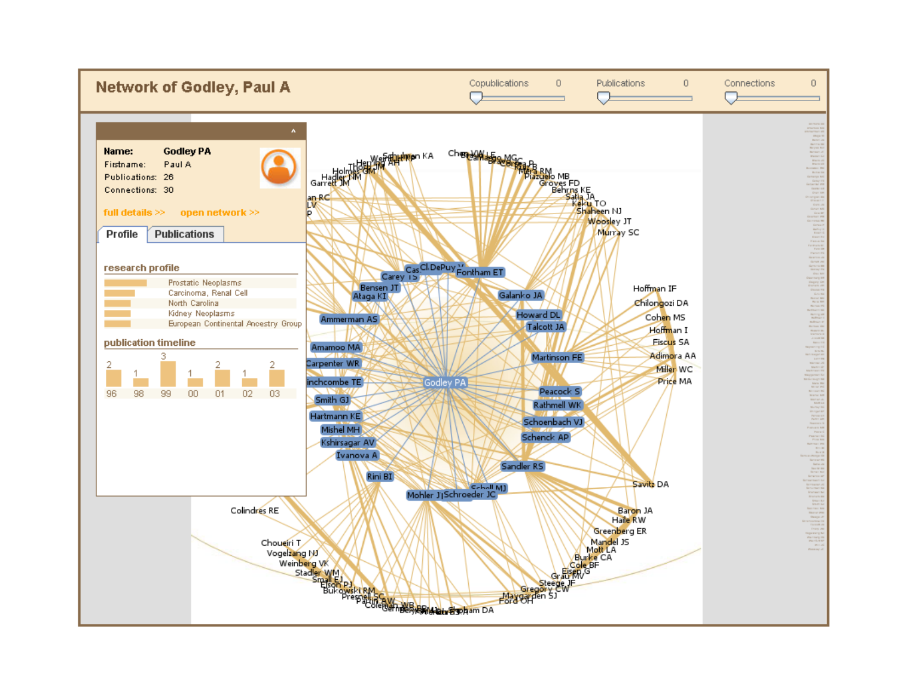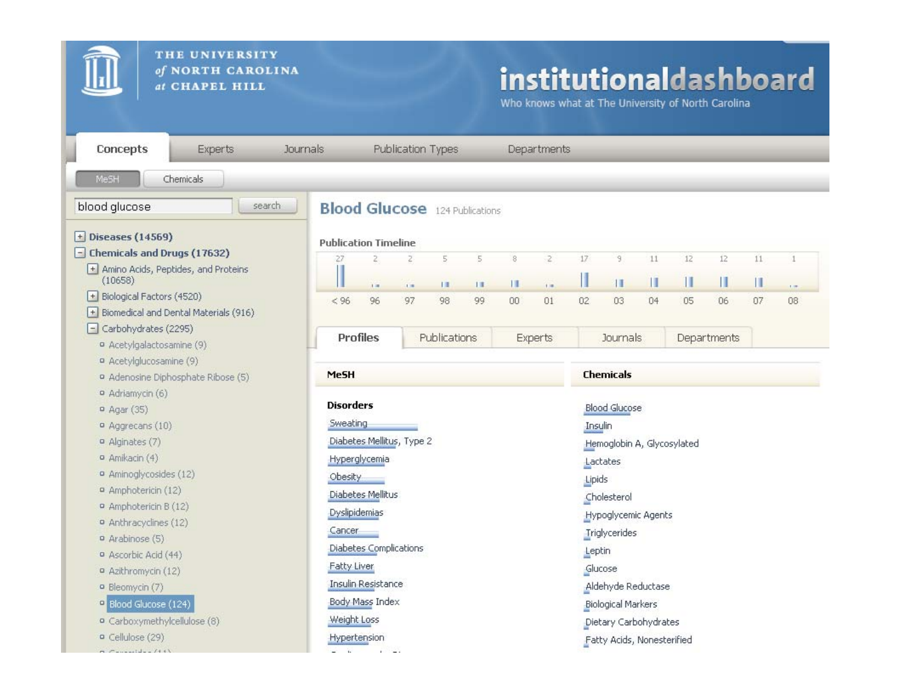

 $-7$